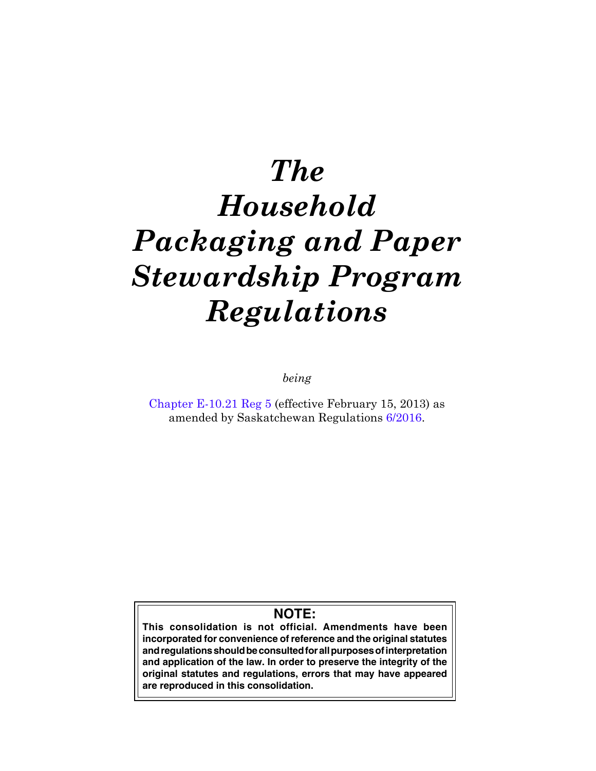# *The Household Packaging and Paper Stewardship Program Regulations*

*being*

[Chapter E-10.21 Reg 5](https://publications.saskatchewan.ca:443/api/v1/products/66312/formats/73738/download) (effective February 15, 2013) as amended by Saskatchewan Regulations [6/2016](https://publications.saskatchewan.ca:443/api/v1/products/78177/formats/87687/download).

# **NOTE:**

**This consolidation is not official. Amendments have been incorporated for convenience of reference and the original statutes and regulations should be consulted for all purposes of interpretation and application of the law. In order to preserve the integrity of the original statutes and regulations, errors that may have appeared are reproduced in this consolidation.**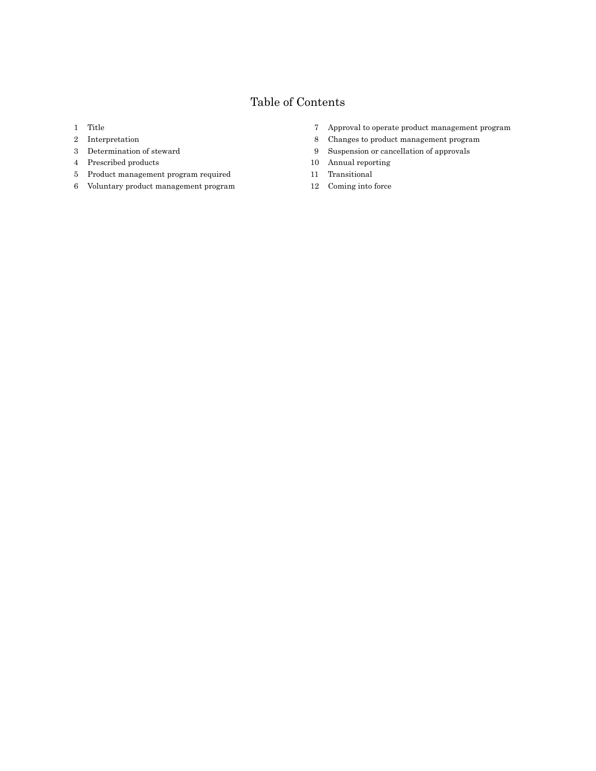# Table of Contents

- Title
- Interpretation
- Determination of steward
- Prescribed products
- Product management program required
- Voluntary product management program
- Approval to operate product management program
- Changes to product management program
- Suspension or cancellation of approvals
- Annual reporting
- Transitional
- Coming into force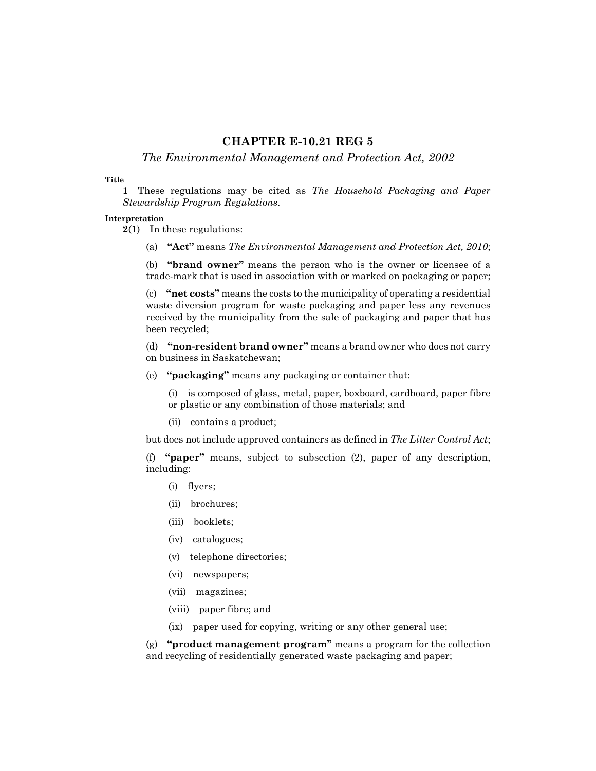## **CHAPTER E-10.21 REG 5**

### *The Environmental Management and Protection Act, 2002*

#### **Title**

**1** These regulations may be cited as *The Household Packaging and Paper Stewardship Program Regulations*.

#### **Interpretation**

- **2**(1) In these regulations:
	- (a) **"Act"** means *The Environmental Management and Protection Act, 2010*;

(b) **"brand owner"** means the person who is the owner or licensee of a trade-mark that is used in association with or marked on packaging or paper;

(c) **"net costs"** means the costs to the municipality of operating a residential waste diversion program for waste packaging and paper less any revenues received by the municipality from the sale of packaging and paper that has been recycled;

(d) **"non-resident brand owner"** means a brand owner who does not carry on business in Saskatchewan;

(e) **"packaging"** means any packaging or container that:

(i) is composed of glass, metal, paper, boxboard, cardboard, paper fibre or plastic or any combination of those materials; and

(ii) contains a product;

but does not include approved containers as defined in *The Litter Control Act*;

(f) **"paper"** means, subject to subsection (2), paper of any description, including:

- (i) flyers;
- (ii) brochures;
- (iii) booklets;
- (iv) catalogues;
- (v) telephone directories;
- (vi) newspapers;
- (vii) magazines;
- (viii) paper fibre; and
- (ix) paper used for copying, writing or any other general use;

(g) **"product management program"** means a program for the collection and recycling of residentially generated waste packaging and paper;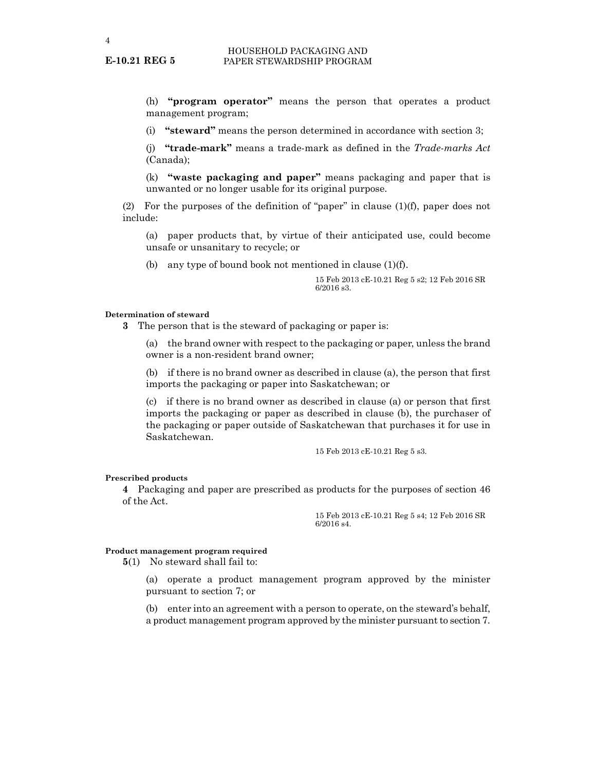(h) **"program operator"** means the person that operates a product management program;

(i) **"steward"** means the person determined in accordance with section 3;

(j) **"trade-mark"** means a trade-mark as defined in the *Trade-marks Act* (Canada);

(k) **"waste packaging and paper"** means packaging and paper that is unwanted or no longer usable for its original purpose.

(2) For the purposes of the definition of "paper" in clause (1)(f), paper does not include:

(a) paper products that, by virtue of their anticipated use, could become unsafe or unsanitary to recycle; or

(b) any type of bound book not mentioned in clause (1)(f).

15 Feb 2013 cE-10.21 Reg 5 s2; 12 Feb 2016 SR 6/2016 s3.

#### **Determination of steward**

**3** The person that is the steward of packaging or paper is:

(a) the brand owner with respect to the packaging or paper, unless the brand owner is a non-resident brand owner;

(b) if there is no brand owner as described in clause (a), the person that first imports the packaging or paper into Saskatchewan; or

(c) if there is no brand owner as described in clause (a) or person that first imports the packaging or paper as described in clause (b), the purchaser of the packaging or paper outside of Saskatchewan that purchases it for use in Saskatchewan.

15 Feb 2013 cE-10.21 Reg 5 s3.

#### **Prescribed products**

**4** Packaging and paper are prescribed as products for the purposes of section 46 of the Act.

> 15 Feb 2013 cE-10.21 Reg 5 s4; 12 Feb 2016 SR 6/2016 s4.

#### **Product management program required**

**5**(1) No steward shall fail to:

(a) operate a product management program approved by the minister pursuant to section 7; or

(b) enter into an agreement with a person to operate, on the steward's behalf, a product management program approved by the minister pursuant to section 7.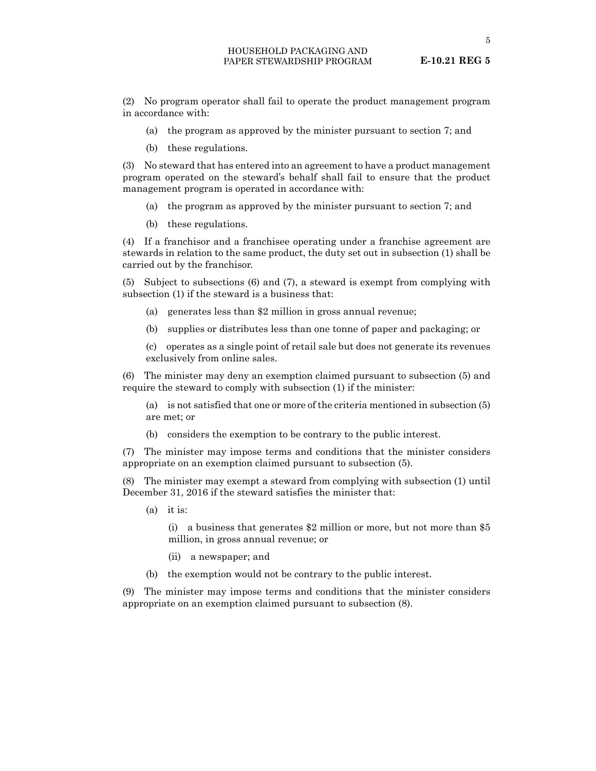5

(2) No program operator shall fail to operate the product management program in accordance with:

- (a) the program as approved by the minister pursuant to section 7; and
- (b) these regulations.

(3) No steward that has entered into an agreement to have a product management program operated on the steward's behalf shall fail to ensure that the product management program is operated in accordance with:

- (a) the program as approved by the minister pursuant to section 7; and
- (b) these regulations.

(4) If a franchisor and a franchisee operating under a franchise agreement are stewards in relation to the same product, the duty set out in subsection (1) shall be carried out by the franchisor.

(5) Subject to subsections (6) and (7), a steward is exempt from complying with subsection (1) if the steward is a business that:

- (a) generates less than \$2 million in gross annual revenue;
- (b) supplies or distributes less than one tonne of paper and packaging; or

(c) operates as a single point of retail sale but does not generate its revenues exclusively from online sales.

(6) The minister may deny an exemption claimed pursuant to subsection (5) and require the steward to comply with subsection (1) if the minister:

(a) is not satisfied that one or more of the criteria mentioned in subsection (5) are met; or

(b) considers the exemption to be contrary to the public interest.

(7) The minister may impose terms and conditions that the minister considers appropriate on an exemption claimed pursuant to subsection (5).

(8) The minister may exempt a steward from complying with subsection (1) until December 31, 2016 if the steward satisfies the minister that:

(a) it is:

(i) a business that generates \$2 million or more, but not more than \$5 million, in gross annual revenue; or

- (ii) a newspaper; and
- (b) the exemption would not be contrary to the public interest.

(9) The minister may impose terms and conditions that the minister considers appropriate on an exemption claimed pursuant to subsection (8).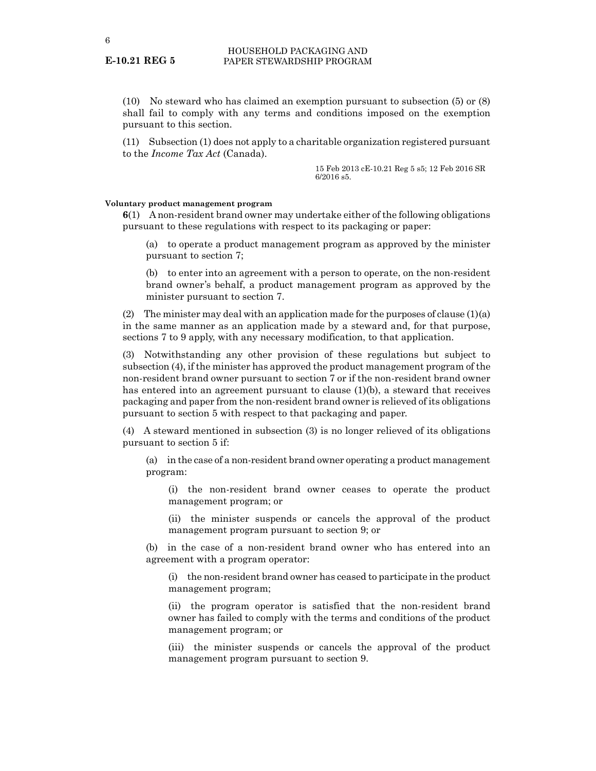(10) No steward who has claimed an exemption pursuant to subsection (5) or (8) shall fail to comply with any terms and conditions imposed on the exemption pursuant to this section.

(11) Subsection (1) does not apply to a charitable organization registered pursuant to the *Income Tax Act* (Canada).

> 15 Feb 2013 cE-10.21 Reg 5 s5; 12 Feb 2016 SR 6/2016 s5.

#### **Voluntary product management program**

**6**(1) A non-resident brand owner may undertake either of the following obligations pursuant to these regulations with respect to its packaging or paper:

(a) to operate a product management program as approved by the minister pursuant to section 7;

(b) to enter into an agreement with a person to operate, on the non-resident brand owner's behalf, a product management program as approved by the minister pursuant to section 7.

(2) The minister may deal with an application made for the purposes of clause  $(1)(a)$ in the same manner as an application made by a steward and, for that purpose, sections 7 to 9 apply, with any necessary modification, to that application.

(3) Notwithstanding any other provision of these regulations but subject to subsection (4), if the minister has approved the product management program of the non-resident brand owner pursuant to section 7 or if the non-resident brand owner has entered into an agreement pursuant to clause (1)(b), a steward that receives packaging and paper from the non-resident brand owner is relieved of its obligations pursuant to section 5 with respect to that packaging and paper.

(4) A steward mentioned in subsection (3) is no longer relieved of its obligations pursuant to section 5 if:

(a) in the case of a non-resident brand owner operating a product management program:

(i) the non-resident brand owner ceases to operate the product management program; or

(ii) the minister suspends or cancels the approval of the product management program pursuant to section 9; or

(b) in the case of a non-resident brand owner who has entered into an agreement with a program operator:

(i) the non-resident brand owner has ceased to participate in the product management program;

(ii) the program operator is satisfied that the non-resident brand owner has failed to comply with the terms and conditions of the product management program; or

(iii) the minister suspends or cancels the approval of the product management program pursuant to section 9.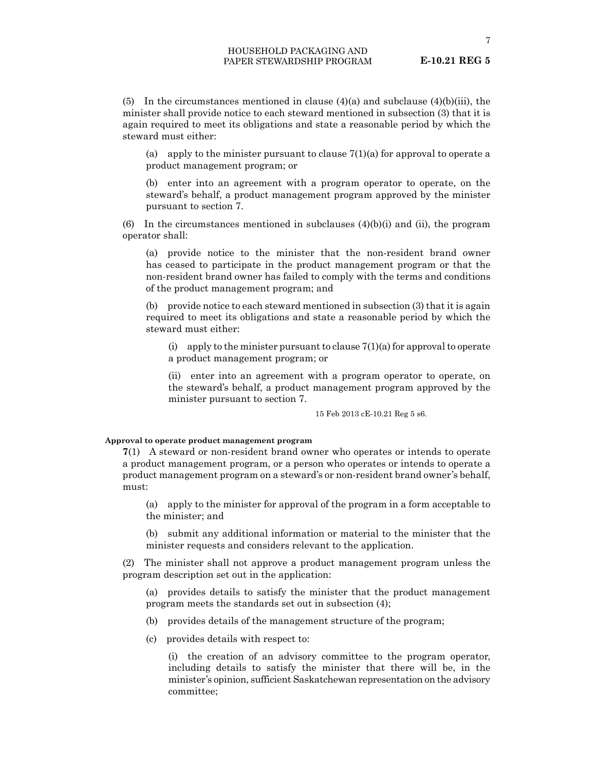(5) In the circumstances mentioned in clause  $(4)(a)$  and subclause  $(4)(b)(iii)$ , the minister shall provide notice to each steward mentioned in subsection (3) that it is again required to meet its obligations and state a reasonable period by which the steward must either:

(a) apply to the minister pursuant to clause  $7(1)(a)$  for approval to operate a product management program; or

(b) enter into an agreement with a program operator to operate, on the steward's behalf, a product management program approved by the minister pursuant to section 7.

(6) In the circumstances mentioned in subclauses  $(4)(b)(i)$  and  $(ii)$ , the program operator shall:

(a) provide notice to the minister that the non-resident brand owner has ceased to participate in the product management program or that the non-resident brand owner has failed to comply with the terms and conditions of the product management program; and

(b) provide notice to each steward mentioned in subsection (3) that it is again required to meet its obligations and state a reasonable period by which the steward must either:

(i) apply to the minister pursuant to clause  $7(1)(a)$  for approval to operate a product management program; or

(ii) enter into an agreement with a program operator to operate, on the steward's behalf, a product management program approved by the minister pursuant to section 7.

15 Feb 2013 cE-10.21 Reg 5 s6.

#### **Approval to operate product management program**

**7**(1) A steward or non-resident brand owner who operates or intends to operate a product management program, or a person who operates or intends to operate a product management program on a steward's or non-resident brand owner's behalf, must:

(a) apply to the minister for approval of the program in a form acceptable to the minister; and

(b) submit any additional information or material to the minister that the minister requests and considers relevant to the application.

(2) The minister shall not approve a product management program unless the program description set out in the application:

(a) provides details to satisfy the minister that the product management program meets the standards set out in subsection (4);

- (b) provides details of the management structure of the program;
- (c) provides details with respect to:

(i) the creation of an advisory committee to the program operator, including details to satisfy the minister that there will be, in the minister's opinion, sufficient Saskatchewan representation on the advisory committee;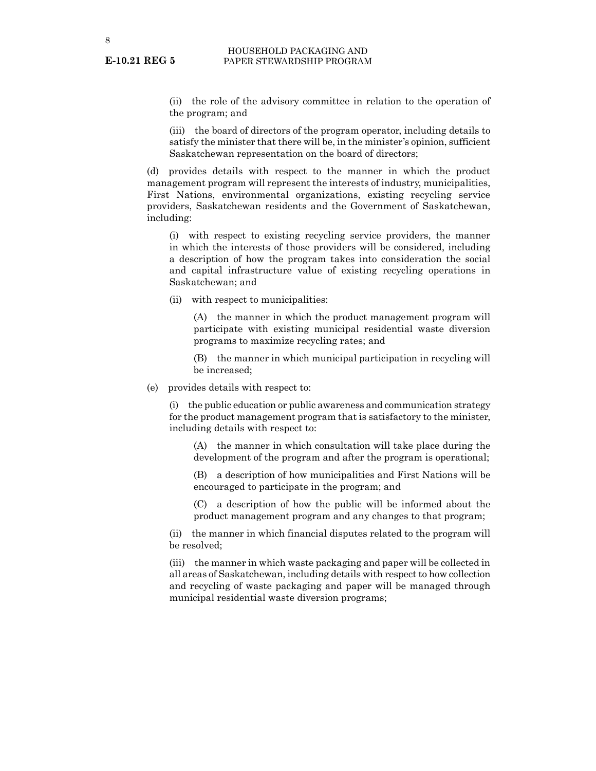(ii) the role of the advisory committee in relation to the operation of the program; and

(iii) the board of directors of the program operator, including details to satisfy the minister that there will be, in the minister's opinion, sufficient Saskatchewan representation on the board of directors;

(d) provides details with respect to the manner in which the product management program will represent the interests of industry, municipalities, First Nations, environmental organizations, existing recycling service providers, Saskatchewan residents and the Government of Saskatchewan, including:

(i) with respect to existing recycling service providers, the manner in which the interests of those providers will be considered, including a description of how the program takes into consideration the social and capital infrastructure value of existing recycling operations in Saskatchewan; and

(ii) with respect to municipalities:

(A) the manner in which the product management program will participate with existing municipal residential waste diversion programs to maximize recycling rates; and

(B) the manner in which municipal participation in recycling will be increased;

(e) provides details with respect to:

(i) the public education or public awareness and communication strategy for the product management program that is satisfactory to the minister, including details with respect to:

(A) the manner in which consultation will take place during the development of the program and after the program is operational;

(B) a description of how municipalities and First Nations will be encouraged to participate in the program; and

(C) a description of how the public will be informed about the product management program and any changes to that program;

(ii) the manner in which financial disputes related to the program will be resolved;

(iii) the manner in which waste packaging and paper will be collected in all areas of Saskatchewan, including details with respect to how collection and recycling of waste packaging and paper will be managed through municipal residential waste diversion programs;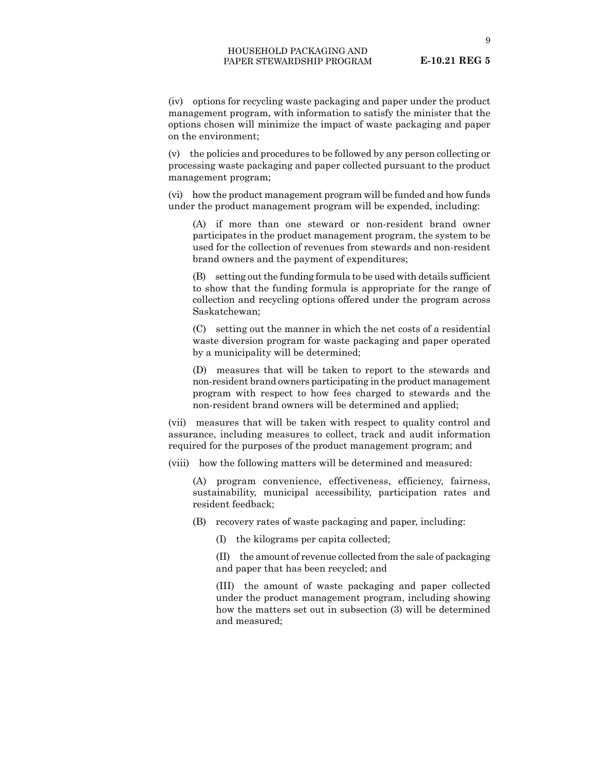9

(iv) options for recycling waste packaging and paper under the product management program, with information to satisfy the minister that the options chosen will minimize the impact of waste packaging and paper on the environment;

(v) the policies and procedures to be followed by any person collecting or processing waste packaging and paper collected pursuant to the product management program;

(vi) how the product management program will be funded and how funds under the product management program will be expended, including:

(A) if more than one steward or non-resident brand owner participates in the product management program, the system to be used for the collection of revenues from stewards and non-resident brand owners and the payment of expenditures;

(B) setting out the funding formula to be used with details sufficient to show that the funding formula is appropriate for the range of collection and recycling options offered under the program across Saskatchewan;

(C) setting out the manner in which the net costs of a residential waste diversion program for waste packaging and paper operated by a municipality will be determined;

(D) measures that will be taken to report to the stewards and non-resident brand owners participating in the product management program with respect to how fees charged to stewards and the non-resident brand owners will be determined and applied;

(vii) measures that will be taken with respect to quality control and assurance, including measures to collect, track and audit information required for the purposes of the product management program; and

(viii) how the following matters will be determined and measured:

(A) program convenience, effectiveness, efficiency, fairness, sustainability, municipal accessibility, participation rates and resident feedback;

(B) recovery rates of waste packaging and paper, including:

(I) the kilograms per capita collected;

(II) the amount of revenue collected from the sale of packaging and paper that has been recycled; and

(III) the amount of waste packaging and paper collected under the product management program, including showing how the matters set out in subsection (3) will be determined and measured;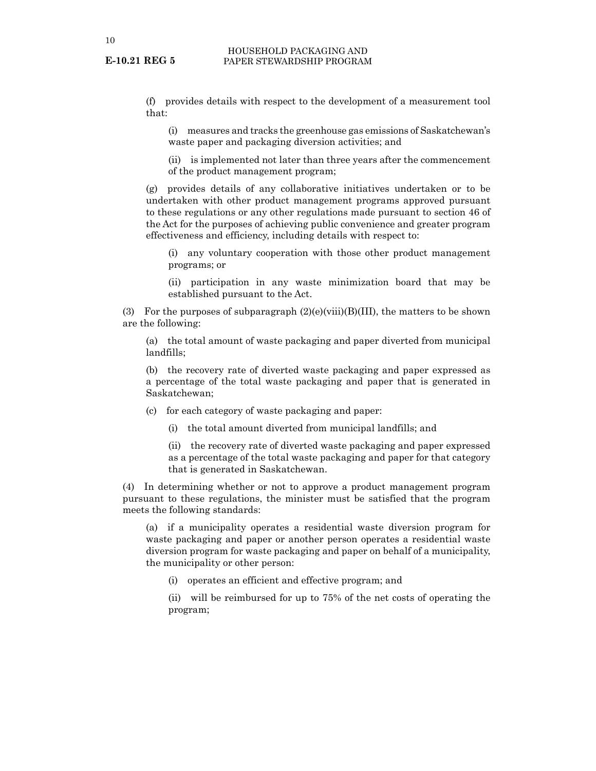(f) provides details with respect to the development of a measurement tool that:

(i) measures and tracks the greenhouse gas emissions of Saskatchewan's waste paper and packaging diversion activities; and

(ii) is implemented not later than three years after the commencement of the product management program;

(g) provides details of any collaborative initiatives undertaken or to be undertaken with other product management programs approved pursuant to these regulations or any other regulations made pursuant to section 46 of the Act for the purposes of achieving public convenience and greater program effectiveness and efficiency, including details with respect to:

(i) any voluntary cooperation with those other product management programs; or

(ii) participation in any waste minimization board that may be established pursuant to the Act.

(3) For the purposes of subparagraph  $(2)(e)(viii)(B)(III)$ , the matters to be shown are the following:

(a) the total amount of waste packaging and paper diverted from municipal landfills;

(b) the recovery rate of diverted waste packaging and paper expressed as a percentage of the total waste packaging and paper that is generated in Saskatchewan;

(c) for each category of waste packaging and paper:

(i) the total amount diverted from municipal landfills; and

(ii) the recovery rate of diverted waste packaging and paper expressed as a percentage of the total waste packaging and paper for that category that is generated in Saskatchewan.

(4) In determining whether or not to approve a product management program pursuant to these regulations, the minister must be satisfied that the program meets the following standards:

(a) if a municipality operates a residential waste diversion program for waste packaging and paper or another person operates a residential waste diversion program for waste packaging and paper on behalf of a municipality, the municipality or other person:

(i) operates an efficient and effective program; and

(ii) will be reimbursed for up to 75% of the net costs of operating the program;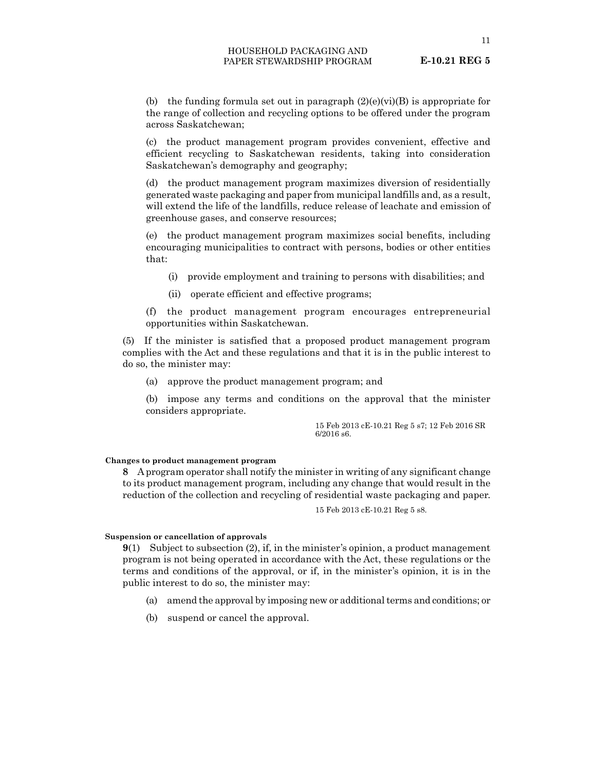11

(b) the funding formula set out in paragraph  $(2)(e)(vi)(B)$  is appropriate for the range of collection and recycling options to be offered under the program across Saskatchewan;

(c) the product management program provides convenient, effective and efficient recycling to Saskatchewan residents, taking into consideration Saskatchewan's demography and geography;

(d) the product management program maximizes diversion of residentially generated waste packaging and paper from municipal landfills and, as a result, will extend the life of the landfills, reduce release of leachate and emission of greenhouse gases, and conserve resources;

(e) the product management program maximizes social benefits, including encouraging municipalities to contract with persons, bodies or other entities that:

- (i) provide employment and training to persons with disabilities; and
- (ii) operate efficient and effective programs;

(f) the product management program encourages entrepreneurial opportunities within Saskatchewan.

(5) If the minister is satisfied that a proposed product management program complies with the Act and these regulations and that it is in the public interest to do so, the minister may:

(a) approve the product management program; and

(b) impose any terms and conditions on the approval that the minister considers appropriate.

> 15 Feb 2013 cE-10.21 Reg 5 s7; 12 Feb 2016 SR 6/2016 s6.

#### **Changes to product management program**

**8** A program operator shall notify the minister in writing of any significant change to its product management program, including any change that would result in the reduction of the collection and recycling of residential waste packaging and paper.

15 Feb 2013 cE-10.21 Reg 5 s8.

#### **Suspension or cancellation of approvals**

**9**(1) Subject to subsection (2), if, in the minister's opinion, a product management program is not being operated in accordance with the Act, these regulations or the terms and conditions of the approval, or if, in the minister's opinion, it is in the public interest to do so, the minister may:

- (a) amend the approval by imposing new or additional terms and conditions; or
- (b) suspend or cancel the approval.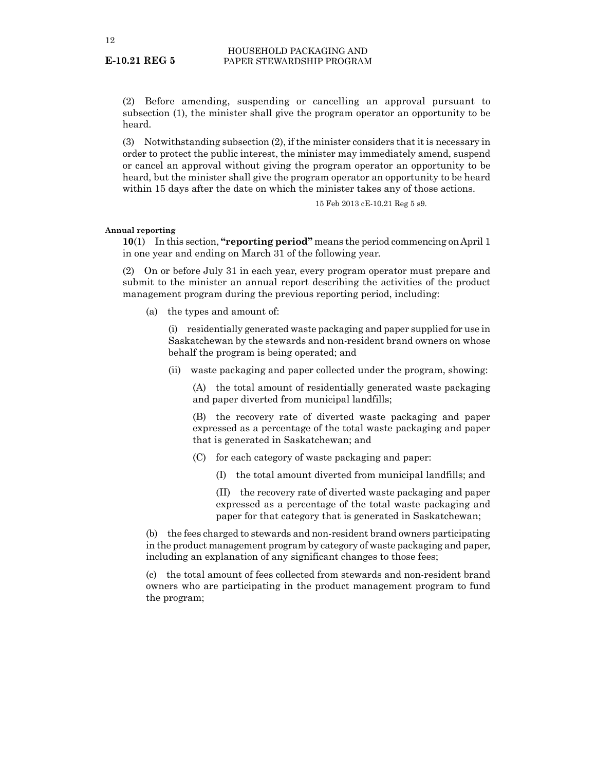(2) Before amending, suspending or cancelling an approval pursuant to subsection (1), the minister shall give the program operator an opportunity to be heard.

(3) Notwithstanding subsection (2), if the minister considers that it is necessary in order to protect the public interest, the minister may immediately amend, suspend or cancel an approval without giving the program operator an opportunity to be heard, but the minister shall give the program operator an opportunity to be heard within 15 days after the date on which the minister takes any of those actions.

15 Feb 2013 cE-10.21 Reg 5 s9.

#### **Annual reporting**

**10**(1) In this section, **"reporting period"** means the period commencing on April 1 in one year and ending on March 31 of the following year.

(2) On or before July 31 in each year, every program operator must prepare and submit to the minister an annual report describing the activities of the product management program during the previous reporting period, including:

(a) the types and amount of:

(i) residentially generated waste packaging and paper supplied for use in Saskatchewan by the stewards and non-resident brand owners on whose behalf the program is being operated; and

(ii) waste packaging and paper collected under the program, showing:

(A) the total amount of residentially generated waste packaging and paper diverted from municipal landfills;

(B) the recovery rate of diverted waste packaging and paper expressed as a percentage of the total waste packaging and paper that is generated in Saskatchewan; and

- (C) for each category of waste packaging and paper:
	- (I) the total amount diverted from municipal landfills; and

(II) the recovery rate of diverted waste packaging and paper expressed as a percentage of the total waste packaging and paper for that category that is generated in Saskatchewan;

(b) the fees charged to stewards and non-resident brand owners participating in the product management program by category of waste packaging and paper, including an explanation of any significant changes to those fees;

(c) the total amount of fees collected from stewards and non-resident brand owners who are participating in the product management program to fund the program;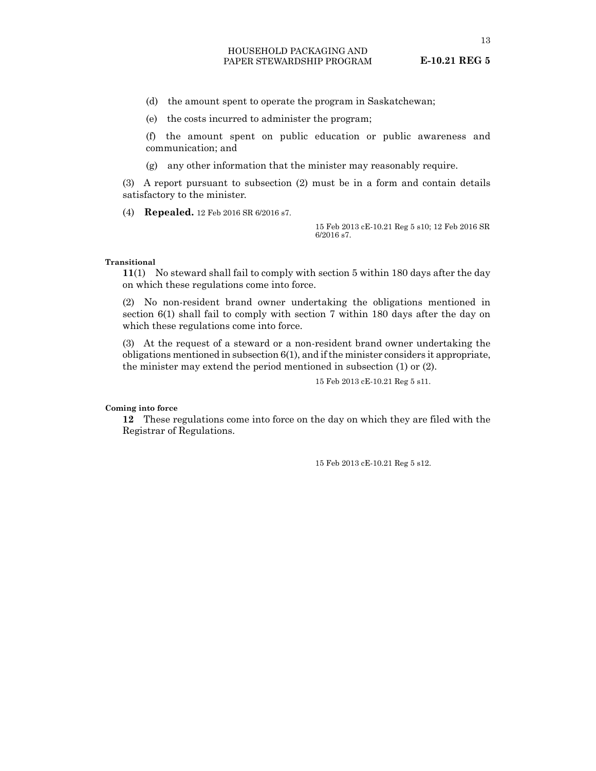(d) the amount spent to operate the program in Saskatchewan;

(e) the costs incurred to administer the program;

(f) the amount spent on public education or public awareness and communication; and

(g) any other information that the minister may reasonably require.

(3) A report pursuant to subsection (2) must be in a form and contain details satisfactory to the minister.

(4) **Repealed.** 12 Feb 2016 SR 6/2016 s7.

15 Feb 2013 cE-10.21 Reg 5 s10; 12 Feb 2016 SR 6/2016 s7.

#### **Transitional**

**11**(1) No steward shall fail to comply with section 5 within 180 days after the day on which these regulations come into force.

(2) No non-resident brand owner undertaking the obligations mentioned in section 6(1) shall fail to comply with section 7 within 180 days after the day on which these regulations come into force.

(3) At the request of a steward or a non-resident brand owner undertaking the obligations mentioned in subsection 6(1), and if the minister considers it appropriate, the minister may extend the period mentioned in subsection (1) or (2).

15 Feb 2013 cE-10.21 Reg 5 s11.

**Coming into force**

**12** These regulations come into force on the day on which they are filed with the Registrar of Regulations.

15 Feb 2013 cE-10.21 Reg 5 s12.